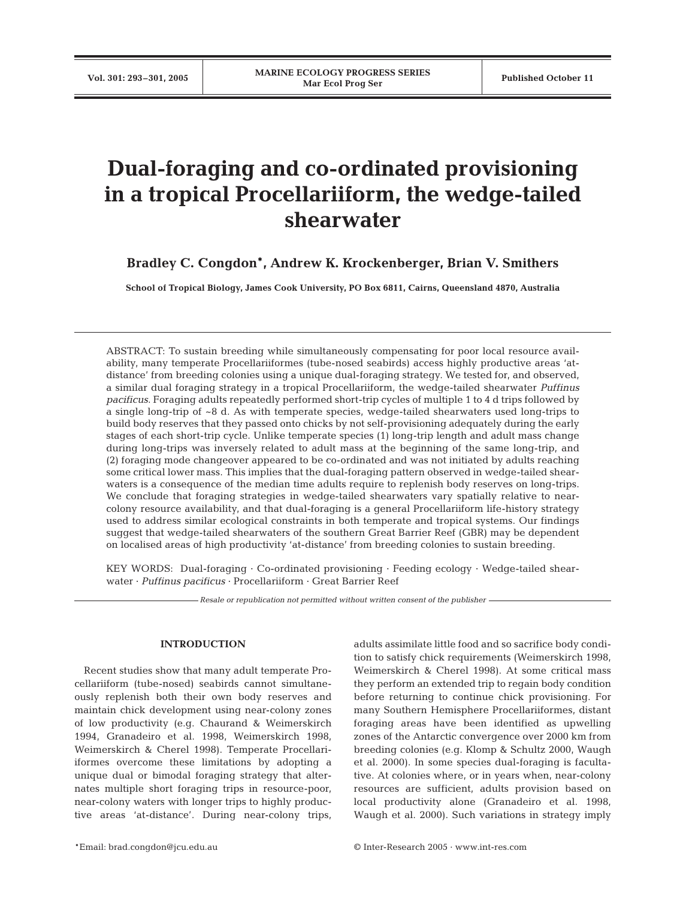# **Dual-foraging and co-ordinated provisioning in a tropical Procellariiform, the wedge-tailed shearwater**

## **Bradley C. Congdon\*, Andrew K. Krockenberger, Brian V. Smithers**

**School of Tropical Biology, James Cook University, PO Box 6811, Cairns, Queensland 4870, Australia**

ABSTRACT: To sustain breeding while simultaneously compensating for poor local resource availability, many temperate Procellariiformes (tube-nosed seabirds) access highly productive areas 'atdistance' from breeding colonies using a unique dual-foraging strategy. We tested for, and observed, a similar dual foraging strategy in a tropical Procellariiform, the wedge-tailed shearwater *Puffinus pacificus*. Foraging adults repeatedly performed short-trip cycles of multiple 1 to 4 d trips followed by a single long-trip of ~8 d. As with temperate species, wedge-tailed shearwaters used long-trips to build body reserves that they passed onto chicks by not self-provisioning adequately during the early stages of each short-trip cycle. Unlike temperate species (1) long-trip length and adult mass change during long-trips was inversely related to adult mass at the beginning of the same long-trip, and (2) foraging mode changeover appeared to be co-ordinated and was not initiated by adults reaching some critical lower mass. This implies that the dual-foraging pattern observed in wedge-tailed shearwaters is a consequence of the median time adults require to replenish body reserves on long-trips. We conclude that foraging strategies in wedge-tailed shearwaters vary spatially relative to nearcolony resource availability, and that dual-foraging is a general Procellariiform life-history strategy used to address similar ecological constraints in both temperate and tropical systems. Our findings suggest that wedge-tailed shearwaters of the southern Great Barrier Reef (GBR) may be dependent on localised areas of high productivity 'at-distance' from breeding colonies to sustain breeding.

KEY WORDS: Dual-foraging · Co-ordinated provisioning · Feeding ecology · Wedge-tailed shearwater · *Puffinus pacificus* · Procellariiform · Great Barrier Reef

*Resale or republication not permitted without written consent of the publisher*

## **INTRODUCTION**

Recent studies show that many adult temperate Procellariiform (tube-nosed) seabirds cannot simultaneously replenish both their own body reserves and maintain chick development using near-colony zones of low productivity (e.g. Chaurand & Weimerskirch 1994, Granadeiro et al. 1998, Weimerskirch 1998, Weimerskirch & Cherel 1998). Temperate Procellariiformes overcome these limitations by adopting a unique dual or bimodal foraging strategy that alternates multiple short foraging trips in resource-poor, near-colony waters with longer trips to highly productive areas 'at-distance'. During near-colony trips,

adults assimilate little food and so sacrifice body condition to satisfy chick requirements (Weimerskirch 1998, Weimerskirch & Cherel 1998). At some critical mass they perform an extended trip to regain body condition before returning to continue chick provisioning. For many Southern Hemisphere Procellariiformes, distant foraging areas have been identified as upwelling zones of the Antarctic convergence over 2000 km from breeding colonies (e.g. Klomp & Schultz 2000, Waugh et al. 2000). In some species dual-foraging is facultative. At colonies where, or in years when, near-colony resources are sufficient, adults provision based on local productivity alone (Granadeiro et al. 1998, Waugh et al. 2000). Such variations in strategy imply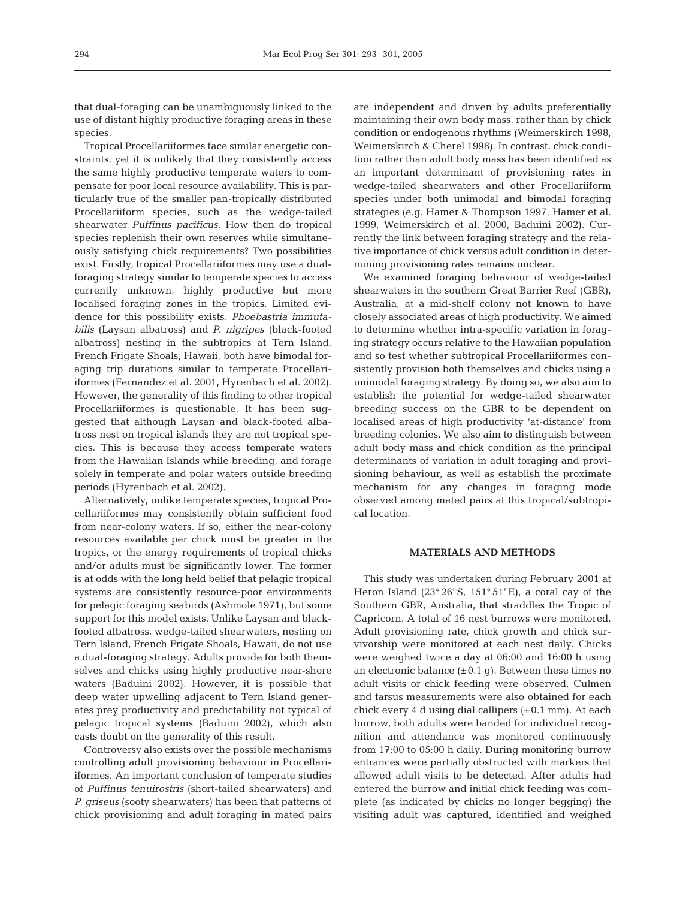that dual-foraging can be unambiguously linked to the use of distant highly productive foraging areas in these species.

Tropical Procellariiformes face similar energetic constraints, yet it is unlikely that they consistently access the same highly productive temperate waters to compensate for poor local resource availability. This is particularly true of the smaller pan-tropically distributed Procellariiform species, such as the wedge-tailed shearwater *Puffinus pacificus*. How then do tropical species replenish their own reserves while simultaneously satisfying chick requirements? Two possibilities exist. Firstly, tropical Procellariiformes may use a dualforaging strategy similar to temperate species to access currently unknown, highly productive but more localised foraging zones in the tropics. Limited evidence for this possibility exists. *Phoebastria immutabilis* (Laysan albatross) and *P. nigripes* (black-footed albatross) nesting in the subtropics at Tern Island, French Frigate Shoals, Hawaii, both have bimodal foraging trip durations similar to temperate Procellariiformes (Fernandez et al. 2001, Hyrenbach et al. 2002). However, the generality of this finding to other tropical Procellariiformes is questionable. It has been suggested that although Laysan and black-footed albatross nest on tropical islands they are not tropical species. This is because they access temperate waters from the Hawaiian Islands while breeding, and forage solely in temperate and polar waters outside breeding periods (Hyrenbach et al. 2002).

Alternatively, unlike temperate species, tropical Procellariiformes may consistently obtain sufficient food from near-colony waters. If so, either the near-colony resources available per chick must be greater in the tropics, or the energy requirements of tropical chicks and/or adults must be significantly lower. The former is at odds with the long held belief that pelagic tropical systems are consistently resource-poor environments for pelagic foraging seabirds (Ashmole 1971), but some support for this model exists. Unlike Laysan and blackfooted albatross, wedge-tailed shearwaters, nesting on Tern Island, French Frigate Shoals, Hawaii, do not use a dual-foraging strategy. Adults provide for both themselves and chicks using highly productive near-shore waters (Baduini 2002). However, it is possible that deep water upwelling adjacent to Tern Island generates prey productivity and predictability not typical of pelagic tropical systems (Baduini 2002), which also casts doubt on the generality of this result.

Controversy also exists over the possible mechanisms controlling adult provisioning behaviour in Procellariiformes. An important conclusion of temperate studies of *Puffinus tenuirostris* (short-tailed shearwaters) and *P. griseus* (sooty shearwaters) has been that patterns of chick provisioning and adult foraging in mated pairs are independent and driven by adults preferentially maintaining their own body mass, rather than by chick condition or endogenous rhythms (Weimerskirch 1998, Weimerskirch & Cherel 1998). In contrast, chick condition rather than adult body mass has been identified as an important determinant of provisioning rates in wedge-tailed shearwaters and other Procellariiform species under both unimodal and bimodal foraging strategies (e.g. Hamer & Thompson 1997, Hamer et al. 1999, Weimerskirch et al. 2000, Baduini 2002). Currently the link between foraging strategy and the relative importance of chick versus adult condition in determining provisioning rates remains unclear.

We examined foraging behaviour of wedge-tailed shearwaters in the southern Great Barrier Reef (GBR), Australia, at a mid-shelf colony not known to have closely associated areas of high productivity. We aimed to determine whether intra-specific variation in foraging strategy occurs relative to the Hawaiian population and so test whether subtropical Procellariiformes consistently provision both themselves and chicks using a unimodal foraging strategy. By doing so, we also aim to establish the potential for wedge-tailed shearwater breeding success on the GBR to be dependent on localised areas of high productivity 'at-distance' from breeding colonies. We also aim to distinguish between adult body mass and chick condition as the principal determinants of variation in adult foraging and provisioning behaviour, as well as establish the proximate mechanism for any changes in foraging mode observed among mated pairs at this tropical/subtropical location.

## **MATERIALS AND METHODS**

This study was undertaken during February 2001 at Heron Island  $(23^{\circ} 26' S, 151^{\circ} 51' E)$ , a coral cay of the Southern GBR, Australia, that straddles the Tropic of Capricorn. A total of 16 nest burrows were monitored. Adult provisioning rate, chick growth and chick survivorship were monitored at each nest daily. Chicks were weighed twice a day at 06:00 and 16:00 h using an electronic balance  $(\pm 0.1 \text{ g})$ . Between these times no adult visits or chick feeding were observed. Culmen and tarsus measurements were also obtained for each chick every 4 d using dial callipers  $(\pm 0.1 \text{ mm})$ . At each burrow, both adults were banded for individual recognition and attendance was monitored continuously from 17:00 to 05:00 h daily. During monitoring burrow entrances were partially obstructed with markers that allowed adult visits to be detected. After adults had entered the burrow and initial chick feeding was complete (as indicated by chicks no longer begging) the visiting adult was captured, identified and weighed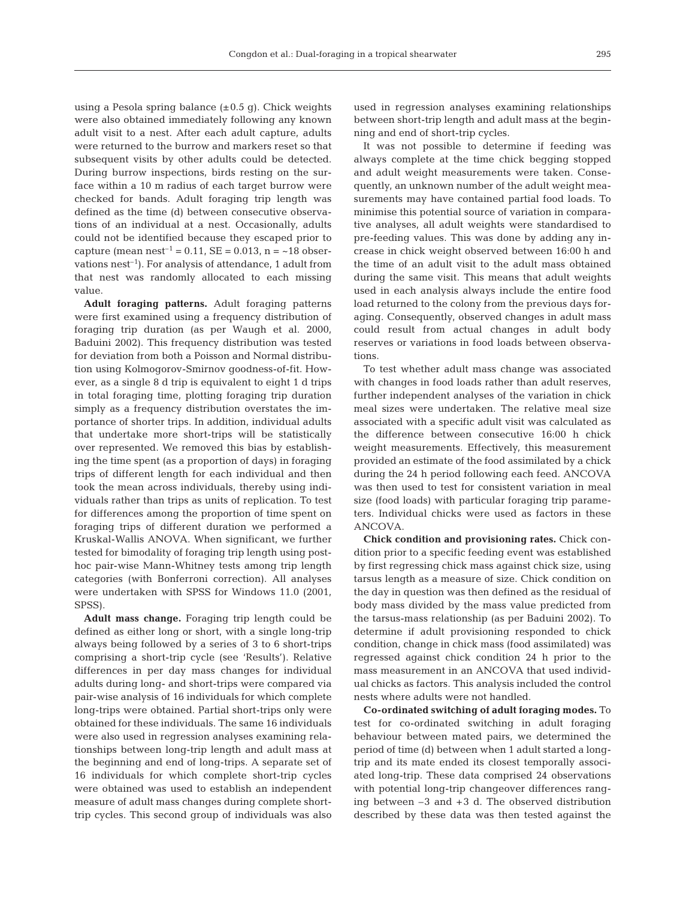using a Pesola spring balance  $(\pm 0.5 \text{ g})$ . Chick weights were also obtained immediately following any known adult visit to a nest. After each adult capture, adults were returned to the burrow and markers reset so that subsequent visits by other adults could be detected. During burrow inspections, birds resting on the surface within a 10 m radius of each target burrow were checked for bands. Adult foraging trip length was defined as the time (d) between consecutive observations of an individual at a nest. Occasionally, adults could not be identified because they escaped prior to capture (mean nest<sup>-1</sup> = 0.11, SE = 0.013, n =  $\sim$ 18 observations  $nest^{-1}$ ). For analysis of attendance, 1 adult from that nest was randomly allocated to each missing value.

**Adult foraging patterns.** Adult foraging patterns were first examined using a frequency distribution of foraging trip duration (as per Waugh et al. 2000, Baduini 2002). This frequency distribution was tested for deviation from both a Poisson and Normal distribution using Kolmogorov-Smirnov goodness-of-fit. However, as a single 8 d trip is equivalent to eight 1 d trips in total foraging time, plotting foraging trip duration simply as a frequency distribution overstates the importance of shorter trips. In addition, individual adults that undertake more short-trips will be statistically over represented. We removed this bias by establishing the time spent (as a proportion of days) in foraging trips of different length for each individual and then took the mean across individuals, thereby using individuals rather than trips as units of replication. To test for differences among the proportion of time spent on foraging trips of different duration we performed a Kruskal-Wallis ANOVA. When significant, we further tested for bimodality of foraging trip length using posthoc pair-wise Mann-Whitney tests among trip length categories (with Bonferroni correction). All analyses were undertaken with SPSS for Windows 11.0 (2001, SPSS).

**Adult mass change.** Foraging trip length could be defined as either long or short, with a single long-trip always being followed by a series of 3 to 6 short-trips comprising a short-trip cycle (see 'Results'). Relative differences in per day mass changes for individual adults during long- and short-trips were compared via pair-wise analysis of 16 individuals for which complete long-trips were obtained. Partial short-trips only were obtained for these individuals. The same 16 individuals were also used in regression analyses examining relationships between long-trip length and adult mass at the beginning and end of long-trips. A separate set of 16 individuals for which complete short-trip cycles were obtained was used to establish an independent measure of adult mass changes during complete shorttrip cycles. This second group of individuals was also used in regression analyses examining relationships between short-trip length and adult mass at the beginning and end of short-trip cycles.

It was not possible to determine if feeding was always complete at the time chick begging stopped and adult weight measurements were taken. Consequently, an unknown number of the adult weight measurements may have contained partial food loads. To minimise this potential source of variation in comparative analyses, all adult weights were standardised to pre-feeding values. This was done by adding any increase in chick weight observed between 16:00 h and the time of an adult visit to the adult mass obtained during the same visit. This means that adult weights used in each analysis always include the entire food load returned to the colony from the previous days foraging. Consequently, observed changes in adult mass could result from actual changes in adult body reserves or variations in food loads between observations.

To test whether adult mass change was associated with changes in food loads rather than adult reserves, further independent analyses of the variation in chick meal sizes were undertaken. The relative meal size associated with a specific adult visit was calculated as the difference between consecutive 16:00 h chick weight measurements. Effectively, this measurement provided an estimate of the food assimilated by a chick during the 24 h period following each feed. ANCOVA was then used to test for consistent variation in meal size (food loads) with particular foraging trip parameters. Individual chicks were used as factors in these ANCOVA.

**Chick condition and provisioning rates.** Chick condition prior to a specific feeding event was established by first regressing chick mass against chick size, using tarsus length as a measure of size. Chick condition on the day in question was then defined as the residual of body mass divided by the mass value predicted from the tarsus-mass relationship (as per Baduini 2002). To determine if adult provisioning responded to chick condition, change in chick mass (food assimilated) was regressed against chick condition 24 h prior to the mass measurement in an ANCOVA that used individual chicks as factors. This analysis included the control nests where adults were not handled.

**Co-ordinated switching of adult foraging modes.** To test for co-ordinated switching in adult foraging behaviour between mated pairs, we determined the period of time (d) between when 1 adult started a longtrip and its mate ended its closest temporally associated long-trip. These data comprised 24 observations with potential long-trip changeover differences ranging between –3 and +3 d. The observed distribution described by these data was then tested against the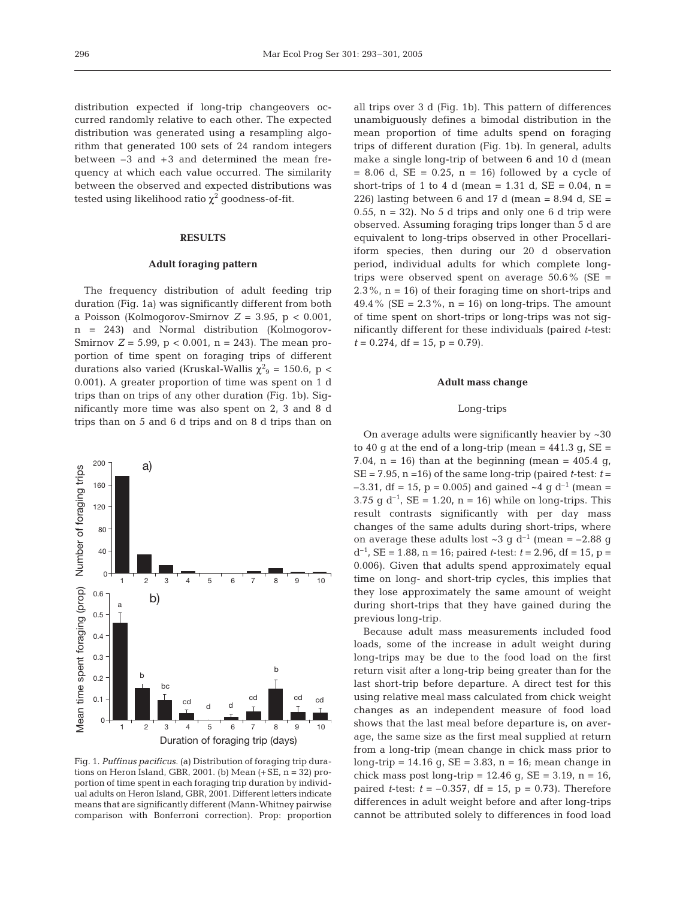distribution expected if long-trip changeovers occurred randomly relative to each other. The expected distribution was generated using a resampling algorithm that generated 100 sets of 24 random integers between –3 and +3 and determined the mean frequency at which each value occurred. The similarity between the observed and expected distributions was tested using likelihood ratio  $\chi^2$  goodness-of-fit.

#### **RESULTS**

## **Adult foraging pattern**

The frequency distribution of adult feeding trip duration (Fig. 1a) was significantly different from both a Poisson (Kolmogorov-Smirnov  $Z = 3.95$ ,  $p < 0.001$ , n = 243) and Normal distribution (Kolmogorov-Smirnov  $Z = 5.99$ ,  $p < 0.001$ ,  $n = 243$ ). The mean proportion of time spent on foraging trips of different durations also varied (Kruskal-Wallis  $\chi^2$ <sub>9</sub> = 150.6, p < 0.001). A greater proportion of time was spent on 1 d trips than on trips of any other duration (Fig. 1b). Significantly more time was also spent on 2, 3 and 8 d trips than on 5 and 6 d trips and on 8 d trips than on



Fig. 1. *Puffinus pacificus*. (a) Distribution of foraging trip durations on Heron Island, GBR, 2001. (b) Mean  $(+SE, n = 32)$  proportion of time spent in each foraging trip duration by individual adults on Heron Island, GBR, 2001. Different letters indicate means that are significantly different (Mann-Whitney pairwise comparison with Bonferroni correction). Prop: proportion

all trips over 3 d (Fig. 1b). This pattern of differences unambiguously defines a bimodal distribution in the mean proportion of time adults spend on foraging trips of different duration (Fig. 1b). In general, adults make a single long-trip of between 6 and 10 d (mean  $= 8.06$  d, SE  $= 0.25$ , n  $= 16$ ) followed by a cycle of short-trips of 1 to 4 d (mean = 1.31 d,  $SE = 0.04$ , n = 226) lasting between 6 and 17 d (mean = 8.94 d,  $SE =$ 0.55,  $n = 32$ ). No 5 d trips and only one 6 d trip were observed. Assuming foraging trips longer than 5 d are equivalent to long-trips observed in other Procellariiform species, then during our 20 d observation period, individual adults for which complete longtrips were observed spent on average  $50.6\%$  (SE =  $2.3\%$ ,  $n = 16$ ) of their foraging time on short-trips and 49.4% (SE =  $2.3$ %, n = 16) on long-trips. The amount of time spent on short-trips or long-trips was not significantly different for these individuals (paired *t*-test:  $t = 0.274$ , df = 15, p = 0.79).

#### **Adult mass change**

## Long-trips

On average adults were significantly heavier by ~30 to 40 g at the end of a long-trip (mean  $= 441.3$  g, SE  $=$ 7.04,  $n = 16$ ) than at the beginning (mean = 405.4 g,  $SE = 7.95$ ,  $n = 16$ ) of the same long-trip (paired *t*-test:  $t =$  $-3.31$ , df = 15, p = 0.005) and gained  $\sim$ 4 g d<sup>-1</sup> (mean = 3.75 g d<sup>-1</sup>, SE = 1.20, n = 16) while on long-trips. This result contrasts significantly with per day mass changes of the same adults during short-trips, where on average these adults lost  $\sim 3$  g d<sup>-1</sup> (mean = -2.88 g  $d^{-1}$ , SE = 1.88, n = 16; paired *t*-test:  $t = 2.96$ , df = 15, p = 0.006). Given that adults spend approximately equal time on long- and short-trip cycles, this implies that they lose approximately the same amount of weight during short-trips that they have gained during the previous long-trip.

Because adult mass measurements included food loads, some of the increase in adult weight during long-trips may be due to the food load on the first return visit after a long-trip being greater than for the last short-trip before departure. A direct test for this using relative meal mass calculated from chick weight changes as an independent measure of food load shows that the last meal before departure is, on average, the same size as the first meal supplied at return from a long-trip (mean change in chick mass prior to long-trip =  $14.16$  g,  $SE = 3.83$ , n =  $16$ ; mean change in chick mass post long-trip =  $12.46$  g, SE =  $3.19$ , n =  $16$ , paired *t*-test:  $t = -0.357$ , df = 15, p = 0.73). Therefore differences in adult weight before and after long-trips cannot be attributed solely to differences in food load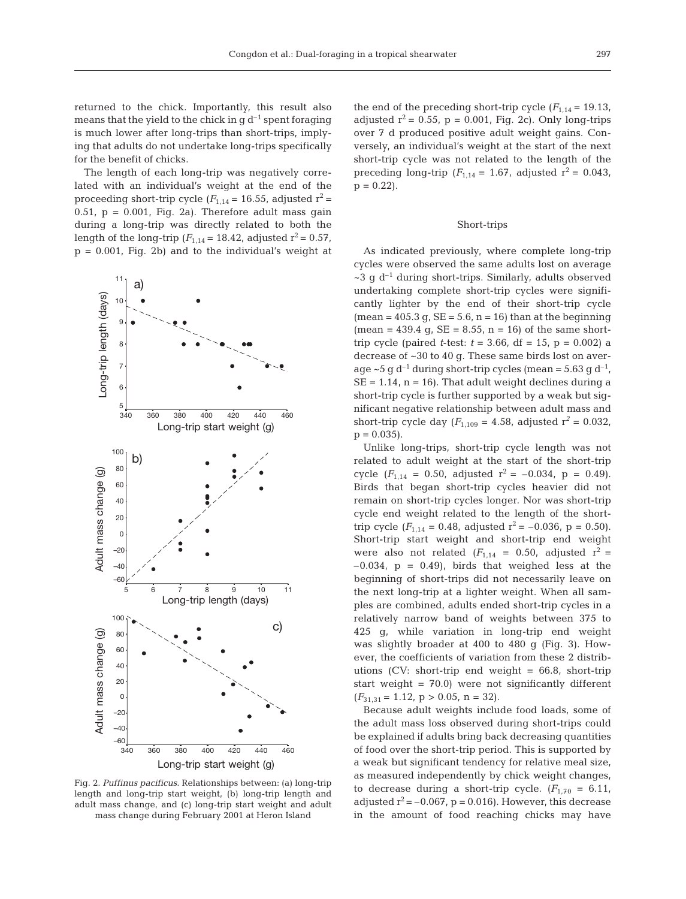returned to the chick. Importantly, this result also means that the yield to the chick in  $q d^{-1}$  spent foraging is much lower after long-trips than short-trips, implying that adults do not undertake long-trips specifically for the benefit of chicks.

The length of each long-trip was negatively correlated with an individual's weight at the end of the proceeding short-trip cycle  $(F_{1,14} = 16.55,$  adjusted  $r^2 =$ 0.51,  $p = 0.001$ , Fig. 2a). Therefore adult mass gain during a long-trip was directly related to both the length of the long-trip ( $F_{1,14}$  = 18.42, adjusted  $r^2$  = 0.57,  $p = 0.001$ , Fig. 2b) and to the individual's weight at



Fig. 2. *Puffinus pacificus*. Relationships between: (a) long-trip length and long-trip start weight, (b) long-trip length and adult mass change, and (c) long-trip start weight and adult mass change during February 2001 at Heron Island

the end of the preceding short-trip cycle  $(F_{1,14} = 19.13,$ adjusted  $r^2 = 0.55$ ,  $p = 0.001$ , Fig. 2c). Only long-trips over 7 d produced positive adult weight gains. Conversely, an individual's weight at the start of the next short-trip cycle was not related to the length of the preceding long-trip  $(F_{1,14} = 1.67, \text{ adjusted } r^2 = 0.043,$  $p = 0.22$ .

#### Short-trips

As indicated previously, where complete long-trip cycles were observed the same adults lost on average  $\sim$ 3 g d<sup>-1</sup> during short-trips. Similarly, adults observed undertaking complete short-trip cycles were significantly lighter by the end of their short-trip cycle (mean =  $405.3$  g, SE =  $5.6$ , n =  $16$ ) than at the beginning  $(mean = 439.4 g, SE = 8.55, n = 16)$  of the same shorttrip cycle (paired *t*-test:  $t = 3.66$ , df = 15, p = 0.002) a decrease of ~30 to 40 g. These same birds lost on average ~5 g  $d^{-1}$  during short-trip cycles (mean = 5.63 g  $d^{-1}$ ,  $SE = 1.14$ ,  $n = 16$ ). That adult weight declines during a short-trip cycle is further supported by a weak but significant negative relationship between adult mass and short-trip cycle day  $(F_{1,109} = 4.58$ , adjusted  $r^2 = 0.032$ ,  $p = 0.035$ .

Unlike long-trips, short-trip cycle length was not related to adult weight at the start of the short-trip cycle  $(F_{1,14} = 0.50,$  adjusted  $r^2 = -0.034, p = 0.49$ . Birds that began short-trip cycles heavier did not remain on short-trip cycles longer. Nor was short-trip cycle end weight related to the length of the shorttrip cycle  $(F_{1,14} = 0.48$ , adjusted  $r^2 = -0.036$ ,  $p = 0.50$ ). Short-trip start weight and short-trip end weight were also not related  $(F_{1,14} = 0.50,$  adjusted  $r^2 =$  $-0.034$ ,  $p = 0.49$ , birds that weighed less at the beginning of short-trips did not necessarily leave on the next long-trip at a lighter weight. When all samples are combined, adults ended short-trip cycles in a relatively narrow band of weights between 375 to 425 g, while variation in long-trip end weight was slightly broader at 400 to 480 g (Fig. 3). However, the coefficients of variation from these 2 distributions (CV: short-trip end weight  $= 66.8$ , short-trip start weight =  $70.0$ ) were not significantly different  $(F_{31,31} = 1.12, p > 0.05, n = 32).$ 

Because adult weights include food loads, some of the adult mass loss observed during short-trips could be explained if adults bring back decreasing quantities of food over the short-trip period. This is supported by a weak but significant tendency for relative meal size, as measured independently by chick weight changes, to decrease during a short-trip cycle.  $(F_{1,70} = 6.11,$ adjusted  $r^2 = -0.067$ ,  $p = 0.016$ ). However, this decrease in the amount of food reaching chicks may have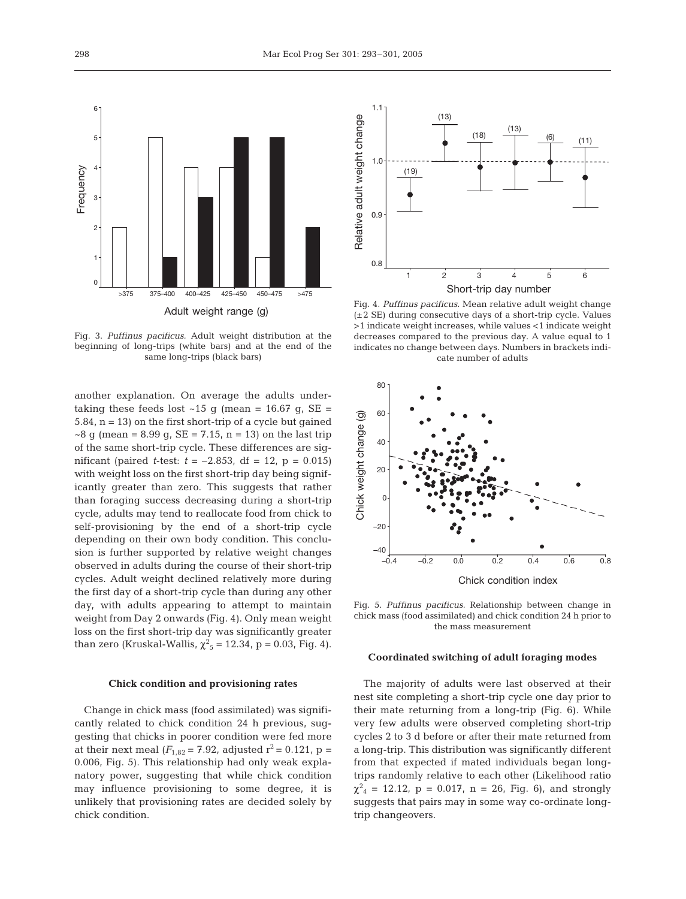

Fig. 3. *Puffinus pacificus.* Adult weight distribution at the beginning of long-trips (white bars) and at the end of the same long-trips (black bars)

another explanation. On average the adults undertaking these feeds lost  $~15$  g (mean = 16.67 g, SE = 5.84, n = 13) on the first short-trip of a cycle but gained  $\sim$ 8 g (mean = 8.99 g, SE = 7.15, n = 13) on the last trip of the same short-trip cycle. These differences are significant (paired *t*-test:  $t = -2.853$ , df = 12, p = 0.015) with weight loss on the first short-trip day being significantly greater than zero. This suggests that rather than foraging success decreasing during a short-trip cycle, adults may tend to reallocate food from chick to self-provisioning by the end of a short-trip cycle depending on their own body condition. This conclusion is further supported by relative weight changes observed in adults during the course of their short-trip cycles. Adult weight declined relatively more during the first day of a short-trip cycle than during any other day, with adults appearing to attempt to maintain weight from Day 2 onwards (Fig. 4). Only mean weight loss on the first short-trip day was significantly greater than zero (Kruskal-Wallis,  $\chi^2$ <sub>5</sub> = 12.34, p = 0.03, Fig. 4).

#### **Chick condition and provisioning rates**

Change in chick mass (food assimilated) was significantly related to chick condition 24 h previous, suggesting that chicks in poorer condition were fed more at their next meal ( $F_{1,82}$  = 7.92, adjusted r<sup>2</sup> = 0.121, p = 0.006, Fig. 5). This relationship had only weak explanatory power, suggesting that while chick condition may influence provisioning to some degree, it is unlikely that provisioning rates are decided solely by chick condition.



Fig. 4. *Puffinus pacificus.* Mean relative adult weight change (±2 SE) during consecutive days of a short-trip cycle. Values >1 indicate weight increases, while values <1 indicate weight decreases compared to the previous day. A value equal to 1 indicates no change between days. Numbers in brackets indicate number of adults



Fig. 5. *Puffinus pacificus.* Relationship between change in chick mass (food assimilated) and chick condition 24 h prior to the mass measurement

## **Coordinated switching of adult foraging modes**

The majority of adults were last observed at their nest site completing a short-trip cycle one day prior to their mate returning from a long-trip (Fig. 6). While very few adults were observed completing short-trip cycles 2 to 3 d before or after their mate returned from a long-trip. This distribution was significantly different from that expected if mated individuals began longtrips randomly relative to each other (Likelihood ratio  $\chi^2_{4}$  = 12.12, p = 0.017, n = 26, Fig. 6), and strongly suggests that pairs may in some way co-ordinate longtrip changeovers.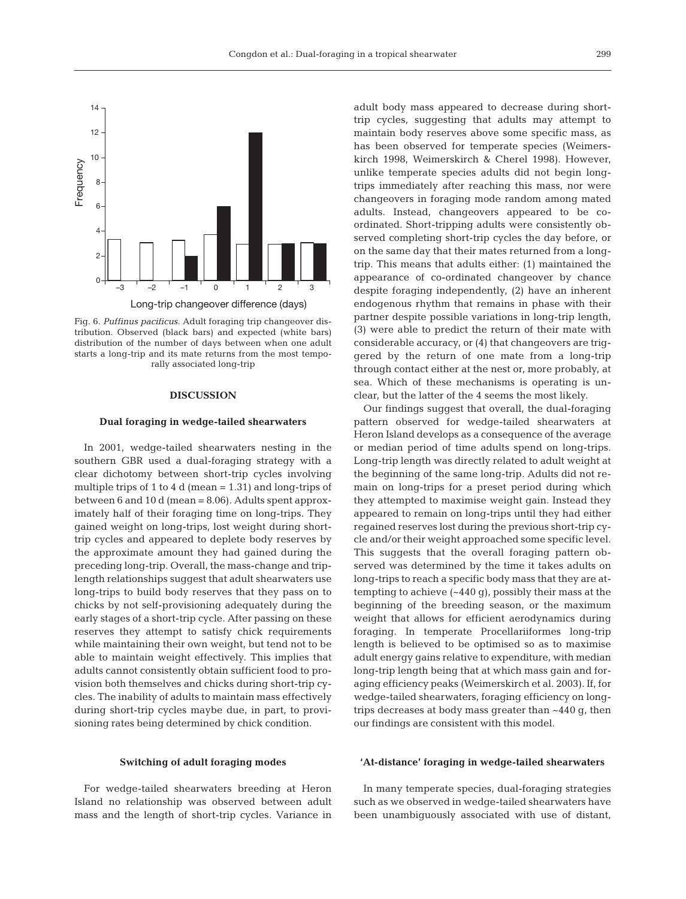

Fig. 6. *Puffinus pacificus.* Adult foraging trip changeover distribution. Observed (black bars) and expected (white bars) distribution of the number of days between when one adult starts a long-trip and its mate returns from the most temporally associated long-trip

#### **DISCUSSION**

#### **Dual foraging in wedge-tailed shearwaters**

In 2001, wedge-tailed shearwaters nesting in the southern GBR used a dual-foraging strategy with a clear dichotomy between short-trip cycles involving multiple trips of 1 to 4 d (mean  $= 1.31$ ) and long-trips of between 6 and 10 d (mean = 8.06). Adults spent approximately half of their foraging time on long-trips. They gained weight on long-trips, lost weight during shorttrip cycles and appeared to deplete body reserves by the approximate amount they had gained during the preceding long-trip. Overall, the mass-change and triplength relationships suggest that adult shearwaters use long-trips to build body reserves that they pass on to chicks by not self-provisioning adequately during the early stages of a short-trip cycle. After passing on these reserves they attempt to satisfy chick requirements while maintaining their own weight, but tend not to be able to maintain weight effectively. This implies that adults cannot consistently obtain sufficient food to provision both themselves and chicks during short-trip cycles. The inability of adults to maintain mass effectively during short-trip cycles maybe due, in part, to provisioning rates being determined by chick condition.

adult body mass appeared to decrease during shorttrip cycles, suggesting that adults may attempt to maintain body reserves above some specific mass, as has been observed for temperate species (Weimerskirch 1998, Weimerskirch & Cherel 1998). However, unlike temperate species adults did not begin longtrips immediately after reaching this mass, nor were changeovers in foraging mode random among mated adults. Instead, changeovers appeared to be coordinated. Short-tripping adults were consistently observed completing short-trip cycles the day before, or on the same day that their mates returned from a longtrip. This means that adults either: (1) maintained the appearance of co-ordinated changeover by chance despite foraging independently, (2) have an inherent endogenous rhythm that remains in phase with their partner despite possible variations in long-trip length, (3) were able to predict the return of their mate with considerable accuracy, or (4) that changeovers are triggered by the return of one mate from a long-trip through contact either at the nest or, more probably, at sea. Which of these mechanisms is operating is unclear, but the latter of the 4 seems the most likely.

Our findings suggest that overall, the dual-foraging pattern observed for wedge-tailed shearwaters at Heron Island develops as a consequence of the average or median period of time adults spend on long-trips. Long-trip length was directly related to adult weight at the beginning of the same long-trip. Adults did not remain on long-trips for a preset period during which they attempted to maximise weight gain. Instead they appeared to remain on long-trips until they had either regained reserves lost during the previous short-trip cycle and/or their weight approached some specific level. This suggests that the overall foraging pattern observed was determined by the time it takes adults on long-trips to reach a specific body mass that they are attempting to achieve (~440 g), possibly their mass at the beginning of the breeding season, or the maximum weight that allows for efficient aerodynamics during foraging. In temperate Procellariiformes long-trip length is believed to be optimised so as to maximise adult energy gains relative to expenditure, with median long-trip length being that at which mass gain and foraging efficiency peaks (Weimerskirch et al. 2003). If, for wedge-tailed shearwaters, foraging efficiency on longtrips decreases at body mass greater than ~440 g, then our findings are consistent with this model.

#### **Switching of adult foraging modes**

For wedge-tailed shearwaters breeding at Heron Island no relationship was observed between adult mass and the length of short-trip cycles. Variance in

## **'At-distance' foraging in wedge-tailed shearwaters**

In many temperate species, dual-foraging strategies such as we observed in wedge-tailed shearwaters have been unambiguously associated with use of distant,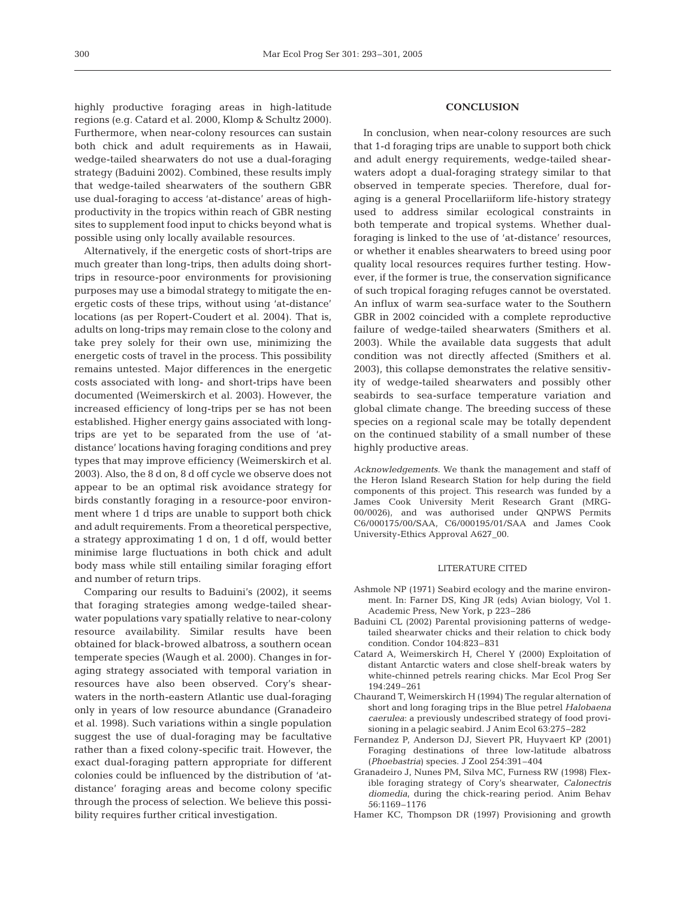highly productive foraging areas in high-latitude regions (e.g. Catard et al. 2000, Klomp & Schultz 2000). Furthermore, when near-colony resources can sustain both chick and adult requirements as in Hawaii, wedge-tailed shearwaters do not use a dual-foraging strategy (Baduini 2002). Combined, these results imply that wedge-tailed shearwaters of the southern GBR use dual-foraging to access 'at-distance' areas of highproductivity in the tropics within reach of GBR nesting sites to supplement food input to chicks beyond what is possible using only locally available resources.

Alternatively, if the energetic costs of short-trips are much greater than long-trips, then adults doing shorttrips in resource-poor environments for provisioning purposes may use a bimodal strategy to mitigate the energetic costs of these trips, without using 'at-distance' locations (as per Ropert-Coudert et al. 2004). That is, adults on long-trips may remain close to the colony and take prey solely for their own use, minimizing the energetic costs of travel in the process. This possibility remains untested. Major differences in the energetic costs associated with long- and short-trips have been documented (Weimerskirch et al. 2003). However, the increased efficiency of long-trips per se has not been established. Higher energy gains associated with longtrips are yet to be separated from the use of 'atdistance' locations having foraging conditions and prey types that may improve efficiency (Weimerskirch et al. 2003). Also, the 8 d on, 8 d off cycle we observe does not appear to be an optimal risk avoidance strategy for birds constantly foraging in a resource-poor environment where 1 d trips are unable to support both chick and adult requirements. From a theoretical perspective, a strategy approximating 1 d on, 1 d off, would better minimise large fluctuations in both chick and adult body mass while still entailing similar foraging effort and number of return trips.

Comparing our results to Baduini's (2002), it seems that foraging strategies among wedge-tailed shearwater populations vary spatially relative to near-colony resource availability. Similar results have been obtained for black-browed albatross, a southern ocean temperate species (Waugh et al. 2000). Changes in foraging strategy associated with temporal variation in resources have also been observed. Cory's shearwaters in the north-eastern Atlantic use dual-foraging only in years of low resource abundance (Granadeiro et al. 1998). Such variations within a single population suggest the use of dual-foraging may be facultative rather than a fixed colony-specific trait. However, the exact dual-foraging pattern appropriate for different colonies could be influenced by the distribution of 'atdistance' foraging areas and become colony specific through the process of selection. We believe this possibility requires further critical investigation.

## **CONCLUSION**

In conclusion, when near-colony resources are such that 1-d foraging trips are unable to support both chick and adult energy requirements, wedge-tailed shearwaters adopt a dual-foraging strategy similar to that observed in temperate species. Therefore, dual foraging is a general Procellariiform life-history strategy used to address similar ecological constraints in both temperate and tropical systems. Whether dualforaging is linked to the use of 'at-distance' resources, or whether it enables shearwaters to breed using poor quality local resources requires further testing. However, if the former is true, the conservation significance of such tropical foraging refuges cannot be overstated. An influx of warm sea-surface water to the Southern GBR in 2002 coincided with a complete reproductive failure of wedge-tailed shearwaters (Smithers et al. 2003). While the available data suggests that adult condition was not directly affected (Smithers et al. 2003), this collapse demonstrates the relative sensitivity of wedge-tailed shearwaters and possibly other seabirds to sea-surface temperature variation and global climate change. The breeding success of these species on a regional scale may be totally dependent on the continued stability of a small number of these highly productive areas.

*Acknowledgements.* We thank the management and staff of the Heron Island Research Station for help during the field components of this project. This research was funded by a James Cook University Merit Research Grant (MRG-00/0026), and was authorised under QNPWS Permits C6/000175/00/SAA, C6/000195/01/SAA and James Cook University-Ethics Approval A627\_00.

## LITERATURE CITED

- Ashmole NP (1971) Seabird ecology and the marine environment. In: Farner DS, King JR (eds) Avian biology, Vol 1. Academic Press, New York, p 223–286
- Baduini CL (2002) Parental provisioning patterns of wedgetailed shearwater chicks and their relation to chick body condition. Condor 104:823–831
- Catard A, Weimerskirch H, Cherel Y (2000) Exploitation of distant Antarctic waters and close shelf-break waters by white-chinned petrels rearing chicks. Mar Ecol Prog Ser 194:249–261
- Chaurand T, Weimerskirch H (1994) The regular alternation of short and long foraging trips in the Blue petrel *Halobaena caerulea*: a previously undescribed strategy of food provisioning in a pelagic seabird. J Anim Ecol 63:275–282
- Fernandez P, Anderson DJ, Sievert PR, Huyvaert KP (2001) Foraging destinations of three low-latitude albatross (*Phoebastria*) species. J Zool 254:391–404
- Granadeiro J, Nunes PM, Silva MC, Furness RW (1998) Flexible foraging strategy of Cory's shearwater, *Calonectris diomedia*, during the chick-rearing period. Anim Behav 56:1169–1176
- Hamer KC, Thompson DR (1997) Provisioning and growth